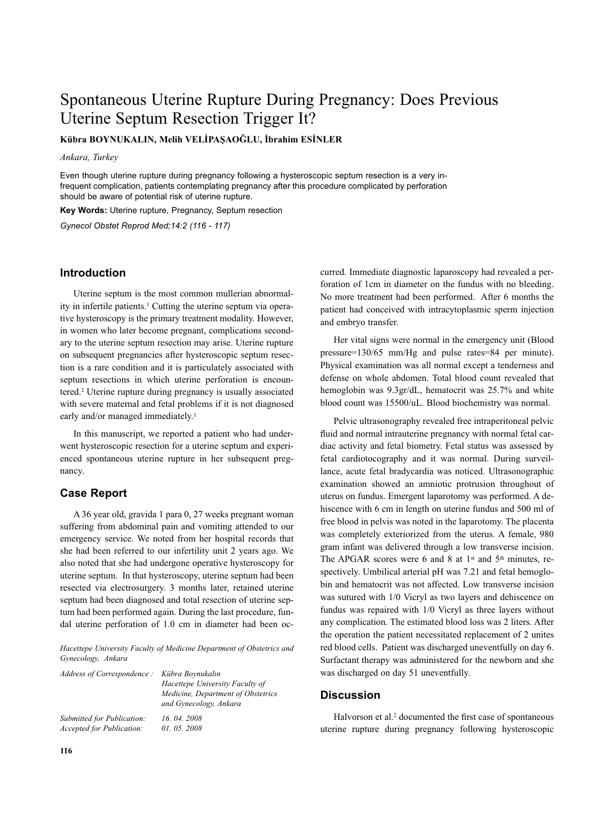# Spontaneous Uterine Rupture During Pregnancy: Does Previous Uterine Septum Resection Trigger It?

**Kübra BOYNUKALIN, Melih VELİPAŞAOĞLU, İbrahim ESİNLER**

*Ankara, Turkey*

Even though uterine rupture during pregnancy following a hysteroscopic septum resection is a very infrequent complication, patients contemplating pregnancy after this procedure complicated by perforation should be aware of potential risk of uterine rupture.

**Key Words:** Uterine rupture, Pregnancy, Septum resection

*Gynecol Obstet Reprod Med;14:2 (116 - 117)*

#### **Introduction**

Uterine septum is the most common mullerian abnormality in infertile patients. <sup>1</sup> Cutting the uterine septum via operative hysteroscopy is the primary treatment modality. However, in women who later become pregnant, complications secondary to the uterine septum resection may arise. Uterine rupture on subsequent pregnancies after hysteroscopic septum resection is a rare condition and it is particulately associated with septum resections in which uterine perforation is encountered. <sup>2</sup> Uterine rupture during pregnancy is usually associated with severe maternal and fetal problems if it is not diagnosed early and/or managed immediately. 1

In this manuscript, we reported a patient who had underwent hysteroscopic resection for a uterine septum and experienced spontaneous uterine rupture in her subsequent pregnancy.

### **Case Report**

A 36 year old, gravida 1 para 0, 27 weeks pregnant woman suffering from abdominal pain and vomiting attended to our emergency service. We noted from her hospital records that she had been referred to our infertility unit 2 years ago. We also noted that she had undergone operative hysteroscopy for uterine septum. In that hysteroscopy, uterine septum had been resected via electrosurgery. 3 months later, retained uterine septum had been diagnosed and total resection of uterine septum had been performed again. During the last procedure, fundal uterine perforation of 1.0 cm in diameter had been oc-

*Hacettepe University Faculty of Medicine Department of Obstetrics and Gynecology, Ankara*

| Address of Correspondence: Kübra Boynukalın | Hacettepe University Faculty of<br>Medicine, Department of Obstetrics<br>and Gynecology, Ankara |
|---------------------------------------------|-------------------------------------------------------------------------------------------------|
| Submitted for Publication:                  | 16, 04, 2008                                                                                    |
| Accepted for Publication:                   | 01.05.2008                                                                                      |

curred. Immediate diagnostic laparoscopy had revealed a perforation of 1cm in diameter on the fundus with no bleeding. No more treatment had been performed. After 6 months the patient had conceived with intracytoplasmic sperm injection and embryo transfer.

Her vital signs were normal in the emergency unit (Blood pressure=130/65 mm/Hg and pulse rates=84 per minute). Physical examination was all normal except a tenderness and defense on whole abdomen. Total blood count revealed that hemoglobin was 9.3gr/dL, hematocrit was 25.7% and white blood count was 15500/uL. Blood biochemistry was normal.

Pelvic ultrasonography revealed free intraperitoneal pelvic fluid and normal intrauterine pregnancy with normal fetal cardiac activity and fetal biometry. Fetal status was assessed by fetal cardiotocography and it was normal. During surveillance, acute fetal bradycardia was noticed. Ultrasonographic examination showed an amniotic protrusion throughout of uterus on fundus. Emergent laparotomy was performed. A dehiscence with 6 cm in length on uterine fundus and 500 ml of free blood in pelvis was noted in the laparotomy. The placenta was completely exteriorized from the uterus. A female, 980 gram infant was delivered through a low transverse incision. The APGAR scores were 6 and 8 at  $1<sup>st</sup>$  and  $5<sup>th</sup>$  minutes, respectively. Umbilical arterial pH was 7.21 and fetal hemoglobin and hematocrit was not affected. Low transverse incision was sutured with 1/0 Vicryl as two layers and dehiscence on fundus was repaired with 1/0 Vicryl as three layers without any complication. The estimated blood loss was 2 liters. After the operation the patient necessitated replacement of 2 unites red blood cells. Patient was discharged uneventfully on day 6. Surfactant therapy was administered for the newborn and she was discharged on day 51 uneventfully.

#### **Discussion**

Halvorson et al. <sup>2</sup> documented the first case of spontaneous uterine rupture during pregnancy following hysteroscopic